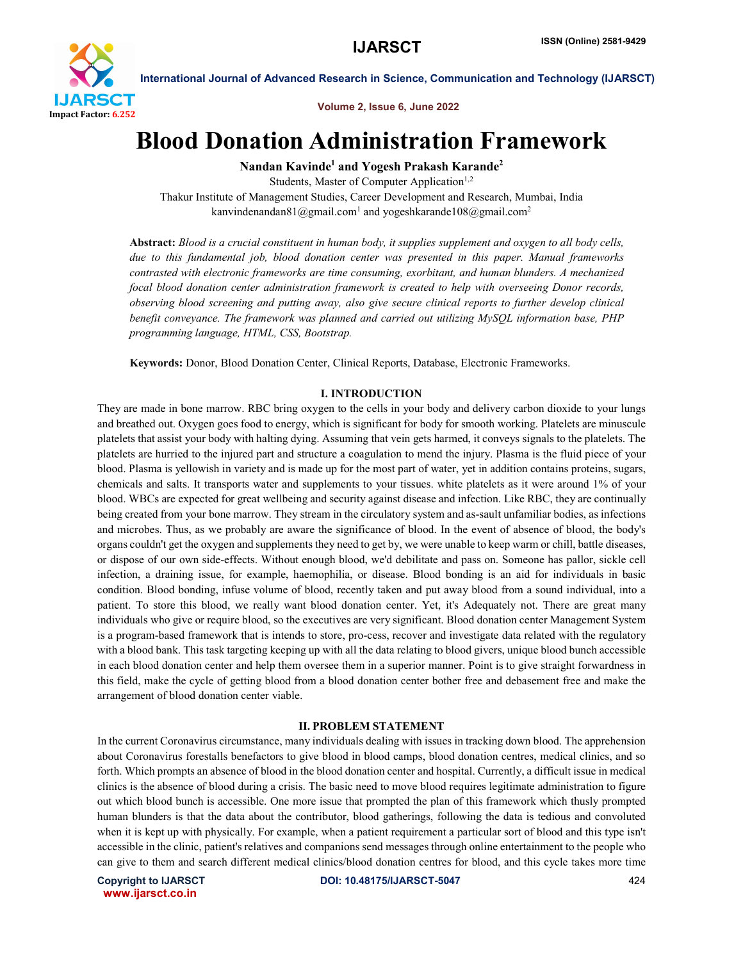

Volume 2, Issue 6, June 2022

## Blood Donation Administration Framework

Nandan Kavinde<sup>1</sup> and Yogesh Prakash Karande<sup>2</sup>

Students, Master of Computer Application<sup>1,2</sup> Thakur Institute of Management Studies, Career Development and Research, Mumbai, India kanvindenandan81@gmail.com<sup>1</sup> and yogeshkarande108@gmail.com<sup>2</sup>

Abstract: *Blood is a crucial constituent in human body, it supplies supplement and oxygen to all body cells, due to this fundamental job, blood donation center was presented in this paper. Manual frameworks contrasted with electronic frameworks are time consuming, exorbitant, and human blunders. A mechanized focal blood donation center administration framework is created to help with overseeing Donor records, observing blood screening and putting away, also give secure clinical reports to further develop clinical benefit conveyance. The framework was planned and carried out utilizing MySQL information base, PHP programming language, HTML, CSS, Bootstrap.*

Keywords: Donor, Blood Donation Center, Clinical Reports, Database, Electronic Frameworks.

### I. INTRODUCTION

They are made in bone marrow. RBC bring oxygen to the cells in your body and delivery carbon dioxide to your lungs and breathed out. Oxygen goes food to energy, which is significant for body for smooth working. Platelets are minuscule platelets that assist your body with halting dying. Assuming that vein gets harmed, it conveys signals to the platelets. The platelets are hurried to the injured part and structure a coagulation to mend the injury. Plasma is the fluid piece of your blood. Plasma is yellowish in variety and is made up for the most part of water, yet in addition contains proteins, sugars, chemicals and salts. It transports water and supplements to your tissues. white platelets as it were around 1% of your blood. WBCs are expected for great wellbeing and security against disease and infection. Like RBC, they are continually being created from your bone marrow. They stream in the circulatory system and as-sault unfamiliar bodies, as infections and microbes. Thus, as we probably are aware the significance of blood. In the event of absence of blood, the body's organs couldn't get the oxygen and supplements they need to get by, we were unable to keep warm or chill, battle diseases, or dispose of our own side-effects. Without enough blood, we'd debilitate and pass on. Someone has pallor, sickle cell infection, a draining issue, for example, haemophilia, or disease. Blood bonding is an aid for individuals in basic condition. Blood bonding, infuse volume of blood, recently taken and put away blood from a sound individual, into a patient. To store this blood, we really want blood donation center. Yet, it's Adequately not. There are great many individuals who give or require blood, so the executives are very significant. Blood donation center Management System is a program-based framework that is intends to store, pro-cess, recover and investigate data related with the regulatory with a blood bank. This task targeting keeping up with all the data relating to blood givers, unique blood bunch accessible in each blood donation center and help them oversee them in a superior manner. Point is to give straight forwardness in this field, make the cycle of getting blood from a blood donation center bother free and debasement free and make the arrangement of blood donation center viable.

### II. PROBLEM STATEMENT

In the current Coronavirus circumstance, many individuals dealing with issues in tracking down blood. The apprehension about Coronavirus forestalls benefactors to give blood in blood camps, blood donation centres, medical clinics, and so forth. Which prompts an absence of blood in the blood donation center and hospital. Currently, a difficult issue in medical clinics is the absence of blood during a crisis. The basic need to move blood requires legitimate administration to figure out which blood bunch is accessible. One more issue that prompted the plan of this framework which thusly prompted human blunders is that the data about the contributor, blood gatherings, following the data is tedious and convoluted when it is kept up with physically. For example, when a patient requirement a particular sort of blood and this type isn't accessible in the clinic, patient's relatives and companions send messages through online entertainment to the people who can give to them and search different medical clinics/blood donation centres for blood, and this cycle takes more time

www.ijarsct.co.in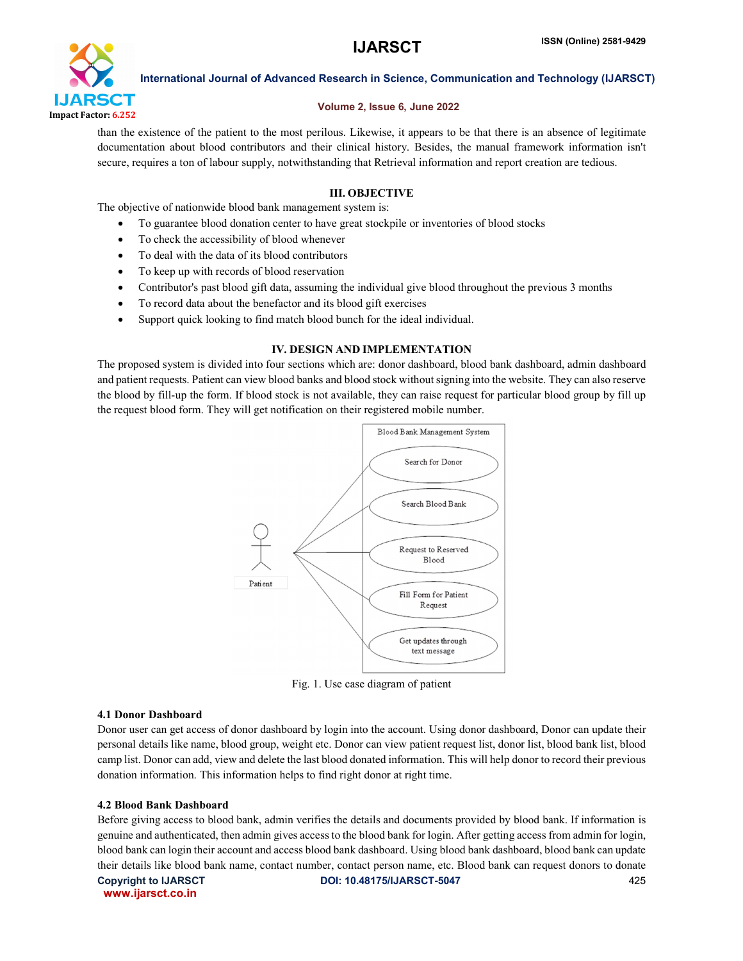

### Volume 2, Issue 6, June 2022

than the existence of the patient to the most perilous. Likewise, it appears to be that there is an absence of legitimate documentation about blood contributors and their clinical history. Besides, the manual framework information isn't secure, requires a ton of labour supply, notwithstanding that Retrieval information and report creation are tedious.

## III. OBJECTIVE

The objective of nationwide blood bank management system is:

- To guarantee blood donation center to have great stockpile or inventories of blood stocks
- To check the accessibility of blood whenever
- To deal with the data of its blood contributors
- To keep up with records of blood reservation
- Contributor's past blood gift data, assuming the individual give blood throughout the previous 3 months
- To record data about the benefactor and its blood gift exercises
- Support quick looking to find match blood bunch for the ideal individual.

## IV. DESIGN AND IMPLEMENTATION

The proposed system is divided into four sections which are: donor dashboard, blood bank dashboard, admin dashboard and patient requests. Patient can view blood banks and blood stock without signing into the website. They can also reserve the blood by fill-up the form. If blood stock is not available, they can raise request for particular blood group by fill up the request blood form. They will get notification on their registered mobile number.



Fig. 1. Use case diagram of patient

### 4.1 Donor Dashboard

Donor user can get access of donor dashboard by login into the account. Using donor dashboard, Donor can update their personal details like name, blood group, weight etc. Donor can view patient request list, donor list, blood bank list, blood camp list. Donor can add, view and delete the last blood donated information. This will help donor to record their previous donation information. This information helps to find right donor at right time.

### 4.2 Blood Bank Dashboard

Copyright to IJARSCT **DOI: 10.48175/IJARSCT-5047** 425 Before giving access to blood bank, admin verifies the details and documents provided by blood bank. If information is genuine and authenticated, then admin gives access to the blood bank for login. After getting access from admin for login, blood bank can login their account and access blood bank dashboard. Using blood bank dashboard, blood bank can update their details like blood bank name, contact number, contact person name, etc. Blood bank can request donors to donate

www.ijarsct.co.in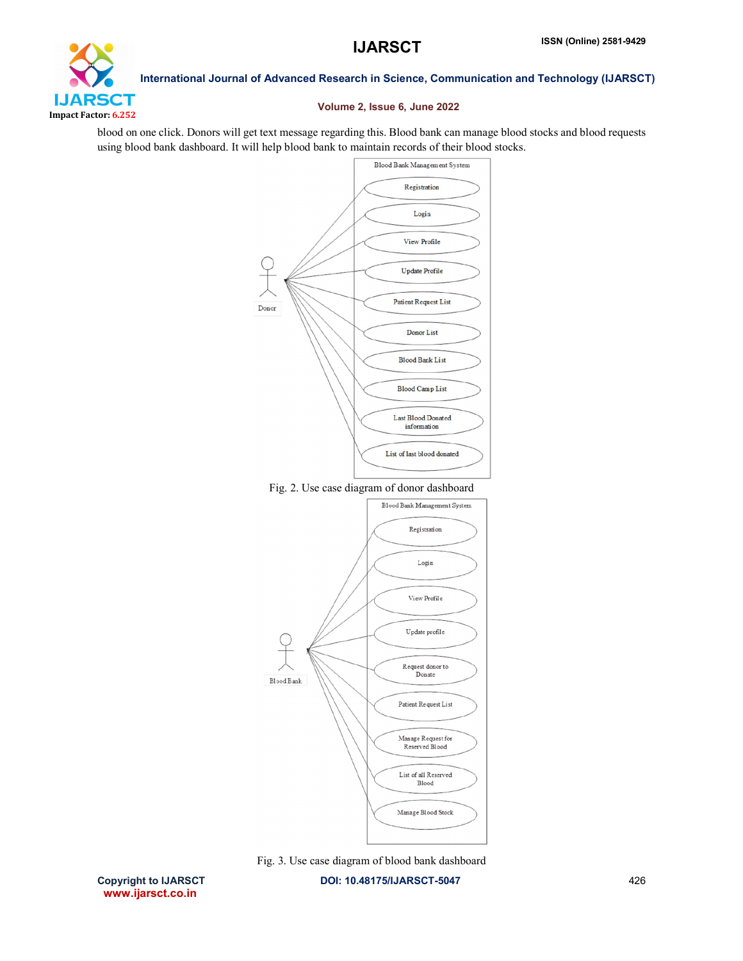

### Volume 2, Issue 6, June 2022

blood on one click. Donors will get text message regarding this. Blood bank can manage blood stocks and blood requests using blood bank dashboard. It will help blood bank to maintain records of their blood stocks.



Fig. 3. Use case diagram of blood bank dashboard

Copyright to IJARSCT **DOI: 10.48175/IJARSCT-5047** 426

Manage Blood Stock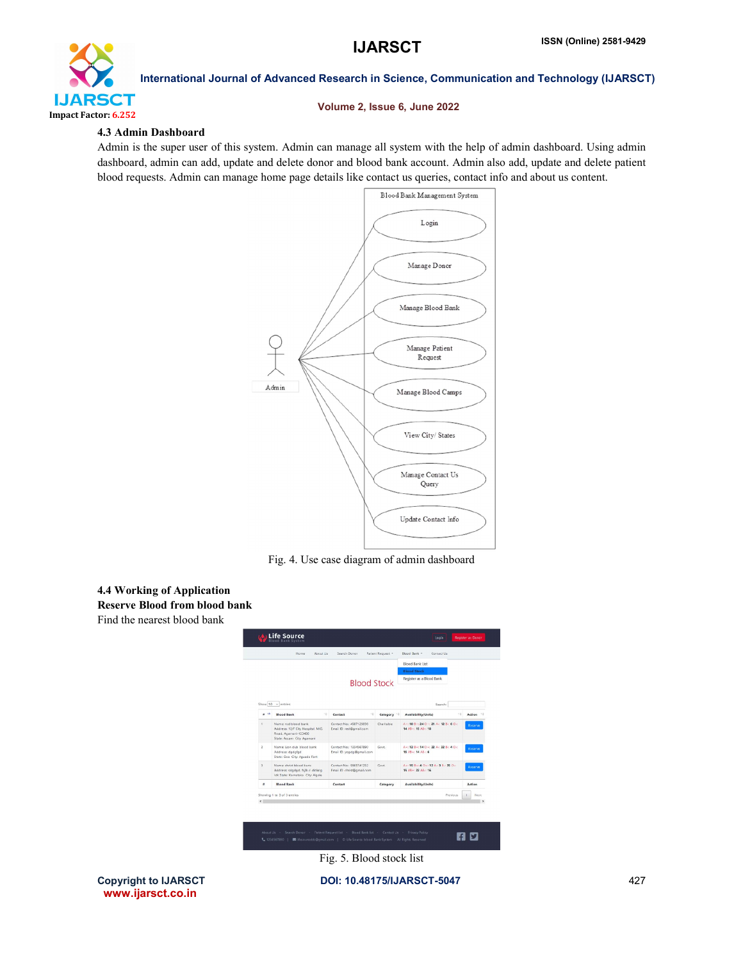

### Volume 2, Issue 6, June 2022

### 4.3 Admin Dashboard

Admin is the super user of this system. Admin can manage all system with the help of admin dashboard. Using admin dashboard, admin can add, update and delete donor and blood bank account. Admin also add, update and delete patient blood requests. Admin can manage home page details like contact us queries, contact info and about us content.



Fig. 4. Use case diagram of admin dashboard

## 4.4 Working of Application

Reserve Blood from blood bank

Find the nearest blood bank



www.ijarsct.co.in

Fig. 5. Blood stock list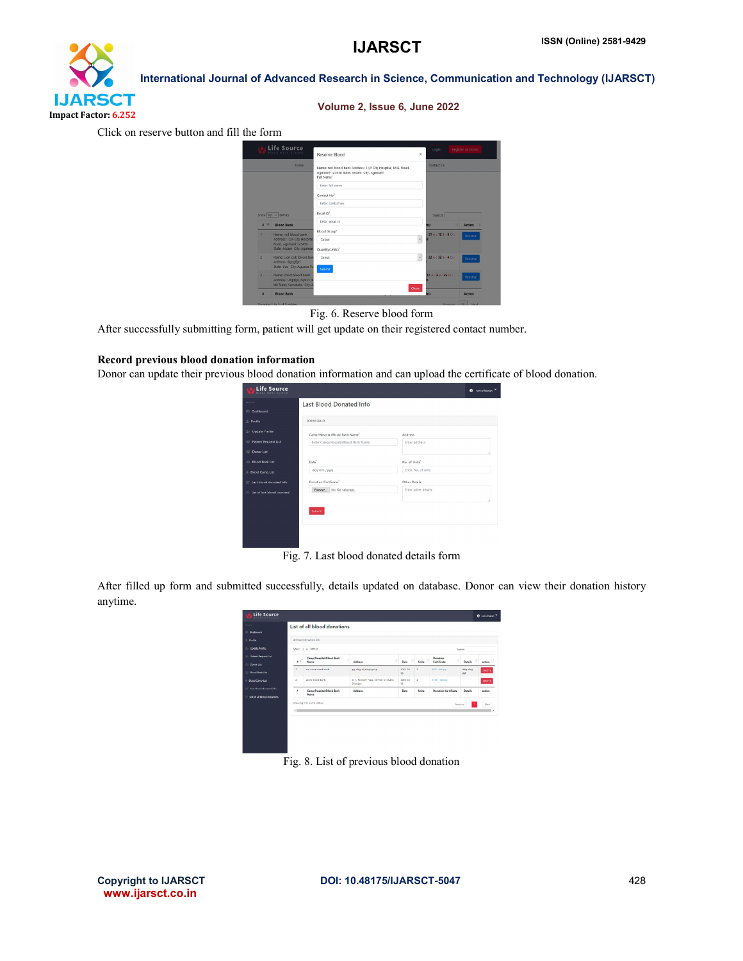# **IJARSCT** Impact Factor: 6.252

## International Journal of Advanced Research in Science, Communication and Technology (IJARSCT)

### Volume 2, Issue 6, June 2022

Click on reserve button and fill the form

|                | Life Source<br>filood Bank System                                                    | Reserve Blood                                                                                                           | $\times$                | Login                  | Register as Donor |  |
|----------------|--------------------------------------------------------------------------------------|-------------------------------------------------------------------------------------------------------------------------|-------------------------|------------------------|-------------------|--|
|                | Home                                                                                 | Name: red blood bank Address: 12/F City Hospital, M.G. Road,<br>Agamani-123456 State: Assam City: Agamari<br>Full Name" |                         | Contact Us             |                   |  |
|                |                                                                                      | Enter full name                                                                                                         |                         |                        |                   |  |
|                |                                                                                      | Contact No"                                                                                                             |                         |                        |                   |  |
|                |                                                                                      | Enter contact no.                                                                                                       |                         |                        |                   |  |
|                | $S10W$ 10 $\vee$ entries                                                             | Frrail ID"                                                                                                              |                         | Search:                |                   |  |
| 22.74          | <b>Blood Bank</b>                                                                    | Enter email io                                                                                                          |                         | и<br>its)              | Action            |  |
| ٠              | Name: red blood bank                                                                 | Blcod Group"                                                                                                            |                         | $21A - 12B - 6O -$     | Reserve           |  |
|                | Address: 12/F City Hospital,<br>Road, Agamani-123456                                 | Select                                                                                                                  | $\overline{\mathbf{v}}$ |                        |                   |  |
|                | State: Assam City: Agaman                                                            | Quantity(Units)"                                                                                                        |                         |                        |                   |  |
| $\overline{2}$ | Name: Lion club blood ban<br>Address: dgogfgd                                        | Select                                                                                                                  | $\overline{\mathbf{v}}$ | 22 A .: 32 B .: 4 O .: | Reserve           |  |
|                | State: Goa City: Aguada Fo                                                           | Submit                                                                                                                  |                         |                        |                   |  |
| $\overline{A}$ | Name: christ blood bank<br>Address: sdgdgd, fsifk d dl<br>Idk State: Kamataka Cty: A |                                                                                                                         | Close                   | 12 A : 38 - 25 O -:    | Reserve           |  |
| ×              | <b>Blood Bank</b>                                                                    |                                                                                                                         |                         | ite)                   | Action            |  |

Fig. 6. Reserve blood form

After successfully submitting form, patient will get update on their registered contact number.

### Record previous blood donation information

Donor can update their previous blood donation information and can upload the certificate of blood donation.

| <b>MAYN</b><br>Last Blood Donated Info<br><b>Dashboard</b><br>FORM FELD<br>$E$ Profile<br><b>B</b> Update Profile<br>Camp/Hospita/Blood Bank Name<br>Address<br>Patient Request List<br>Enter Camp/Hospital/Blood Bank Name<br>Enter address<br>Donor List<br><b>EL: Blood Bank List</b><br>Date <sup>1</sup><br>No. of Units'<br>dd/mm/ywy<br>Enter No. of units<br><b>Bood Camp List</b><br>Danation Cartificate"<br>Other Details<br>E Last blood donated info<br>Browse No file selected.<br>Enter other details<br>List of last blood donated | <b>Life Source</b><br><b>Blood Bank System</b> | <b>A</b> rani chavan Y |
|----------------------------------------------------------------------------------------------------------------------------------------------------------------------------------------------------------------------------------------------------------------------------------------------------------------------------------------------------------------------------------------------------------------------------------------------------------------------------------------------------------------------------------------------------|------------------------------------------------|------------------------|
|                                                                                                                                                                                                                                                                                                                                                                                                                                                                                                                                                    |                                                |                        |
|                                                                                                                                                                                                                                                                                                                                                                                                                                                                                                                                                    |                                                |                        |
|                                                                                                                                                                                                                                                                                                                                                                                                                                                                                                                                                    |                                                |                        |
|                                                                                                                                                                                                                                                                                                                                                                                                                                                                                                                                                    |                                                |                        |
|                                                                                                                                                                                                                                                                                                                                                                                                                                                                                                                                                    |                                                |                        |
|                                                                                                                                                                                                                                                                                                                                                                                                                                                                                                                                                    |                                                |                        |
|                                                                                                                                                                                                                                                                                                                                                                                                                                                                                                                                                    |                                                |                        |
|                                                                                                                                                                                                                                                                                                                                                                                                                                                                                                                                                    |                                                |                        |
|                                                                                                                                                                                                                                                                                                                                                                                                                                                                                                                                                    |                                                |                        |
|                                                                                                                                                                                                                                                                                                                                                                                                                                                                                                                                                    |                                                |                        |
|                                                                                                                                                                                                                                                                                                                                                                                                                                                                                                                                                    |                                                |                        |
|                                                                                                                                                                                                                                                                                                                                                                                                                                                                                                                                                    |                                                |                        |
| Submit                                                                                                                                                                                                                                                                                                                                                                                                                                                                                                                                             |                                                |                        |
|                                                                                                                                                                                                                                                                                                                                                                                                                                                                                                                                                    |                                                |                        |

Fig. 7. Last blood donated details form

After filled up form and submitted successfully, details updated on database. Donor can view their donation history anytime.

| <b>Bashboard</b>                                           |              | List of all blood donations           |                                                     |                                           |              |                              |               |           |
|------------------------------------------------------------|--------------|---------------------------------------|-----------------------------------------------------|-------------------------------------------|--------------|------------------------------|---------------|-----------|
| 2.0006                                                     |              | All himself demantisms index          |                                                     |                                           |              |                              |               |           |
| <b>L. Update Frontic</b>                                   |              | Show in a cetric                      |                                                     |                                           |              |                              | Seprety       |           |
| <b>The Perfect Despited List</b><br><b>Donor List</b>      | 8.71         | Camp/Hospital/Blood Bank<br>ń<br>Name | Address                                             | Date                                      | Units        | Donation<br>A<br>Cartificate | Datails       | action 17 |
| <b>C Rend Renk List</b>                                    | ٠.           | and cover highed hook.                | gio dici di lettotoci gi                            | 2021/04<br>$\overline{Q}^*_{\mathcal{F}}$ | $\mathbf{z}$ | exco cet.go                  | dda cka<br>d# | DELITE:   |
| <b>I</b> Bood Cano List                                    | $\mathbb{Z}$ | assive brood bank                     | 311 . Poonsen Plaza, rd Floor D 5 Lane.<br>Chickent | 2020-02-<br>$0.5$                         | $\mathbf{z}$ | <b>4736-1 (2) (3)</b>        |               | DRATE     |
| [2] hed blood doneted info.<br>List of all blood donations | $\bullet$    | Camp/Hospital/Blood Bank<br>Name      | Address                                             | Date                                      | Units        | <b>Donation Cartificate</b>  | Details       | ection    |
|                                                            |              | Showing 1 to 2 of 2 ontries           |                                                     |                                           |              | <b>Pervices</b>              |               | Newt      |
|                                                            | $\times 10$  |                                       |                                                     |                                           |              |                              |               | . .       |

Fig. 8. List of previous blood donation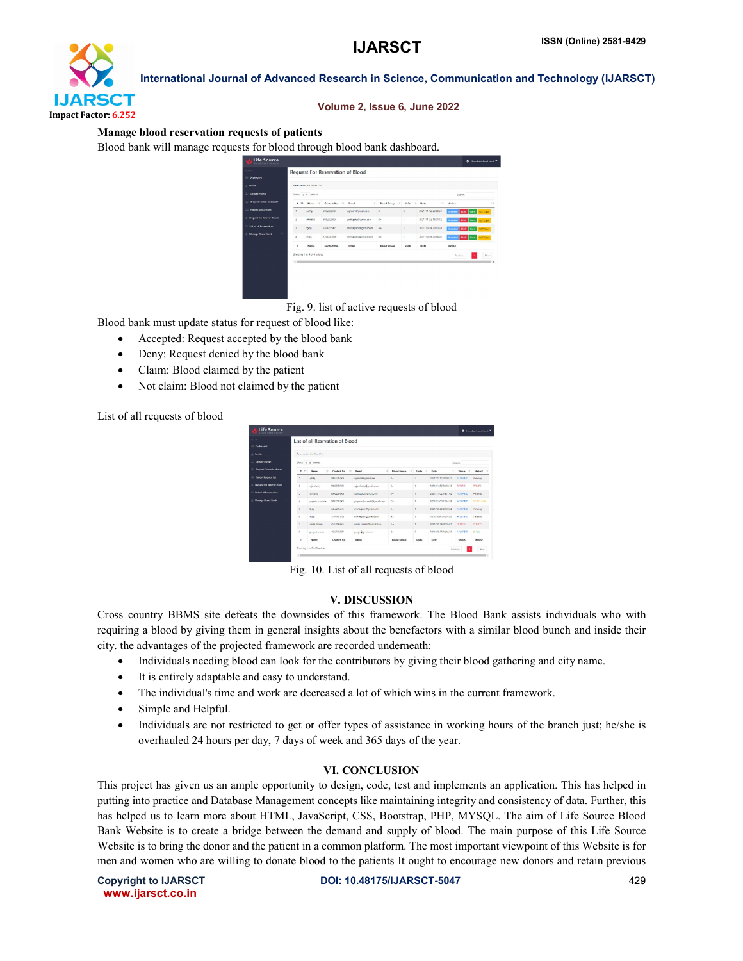

### Volume 2, Issue 6, June 2022

### Manage blood reservation requests of patients

Blood bank will manage requests for blood through blood bank dashboard.

|                               |                 | <b>Reparately for Stood Lat</b> |                   |                        |                                     |                         |                     |                    |           |
|-------------------------------|-----------------|---------------------------------|-------------------|------------------------|-------------------------------------|-------------------------|---------------------|--------------------|-----------|
| pdate Frontic                 | Show o e ontres | Seprem                          |                   |                        |                                     |                         |                     |                    |           |
| <b>Income Donor to donate</b> | $+14$           | Name                            | Contact No.<br>16 | 14<br><b>Consult</b>   | <b>Blood Group</b><br>$\rightarrow$ | <b>Weite</b><br>$-18.7$ | 78<br>Date          | Astian             |           |
| ationt Roquest list           | ٠               | ozma                            | 9592235904        | cercertitiemal.com     | $5 -$                               | z                       | 2021-11-12 20:00:33 | Accepted 0.00 Cam  | NOTCHER   |
| spannt for Deserver Noved     | z               | dinand                          | 9092235904        | vottsacha@gmail.com    | $5 -$                               | ×                       | 2021-11-02 14:01:42 | Accepted 0307 Cam  | NOT Clem  |
| st of all Reservation.        | x               | 1300                            | 7454215475        | creha patilitional com | A+                                  | s.                      | 2021-10-29 20:30:24 | Accepted DINY Cars | NOT Civic |
| wwaye Flood Stock             | $\mathbf{d}$    | yidge                           | 1234567050        | sneha patis@gmail.com  | $\mathcal{A}_{\mathcal{A}}$         | ÷                       | 053535 45-01-1505   | Accepted DUV Cars  | NOT Clean |
|                               | $\lambda$       | Name.                           | Contact No.       | Insalt                 | <b>Blood Group</b>                  | Units                   | <b>Date</b>         | Action             |           |
|                               |                 | Showing 1 to 4 of 4 untries     |                   |                        |                                     |                         |                     | Nevissan           | New       |
|                               | 4.01            |                                 |                   |                        |                                     |                         |                     |                    |           |

Fig. 9. list of active requests of blood

Blood bank must update status for request of blood like:

- Accepted: Request accepted by the blood bank
- Deny: Request denied by the blood bank
- Claim: Blood claimed by the patient
- Not claim: Blood not claimed by the patient

List of all requests of blood

|                                   |                      |                                  | List of all Resrvation of Blood |                            |                          |                |                     |                |                |
|-----------------------------------|----------------------|----------------------------------|---------------------------------|----------------------------|--------------------------|----------------|---------------------|----------------|----------------|
| Dashboard                         |                      |                                  |                                 |                            |                          |                |                     |                |                |
| David La                          |                      | <b>Reservation for Recylling</b> |                                 |                            |                          |                |                     |                |                |
| <b>Update Profile</b>             |                      | Show in a cetter                 |                                 |                            |                          |                |                     | Search         |                |
| <b>Request Donor to donote</b>    | <b>TE</b><br>$\cdot$ | 1ż<br>Neme                       | Contact No.<br>12               | 1ż<br>Fmail                | <b>Blood Group</b><br>12 | Using<br>16    | Date<br>12          | Status<br>$+1$ | Status2 11     |
| <b>Patient Roosest list</b>       | ٠                    | cotto                            | 999222-904                      | dondorshipmail.com         | $u -$                    | z              | 2021 11 12 2010 23  | ACCURED        | Ponding        |
| <b>Degreed for Deserve Royal</b>  | $\lambda$            | nely shelly.                     | 1003225004                      | niashetts@canal.com        | ×.                       | ٠              | 2021-11-0220-08-10  | <b>DRMRD</b>   | ORNIES.        |
| <b>List of all Responsibles</b>   | J.                   | ment                             | 9992235904                      | vottodtoltamal.com         | $n -$                    | ×              | 2021 11 02 14:01 42 | ACCOFILD       | Ponding        |
| <b>Manage Ricevil Street</b><br>÷ | $\lambda$            | ungehichende                     | 483228004                       | you whole contact graduate | o.                       | ¥              | 2021-11-02-28-04-88 | ACCEPTED       | NOTICI AGA     |
|                                   | $\sigma$             | todo                             | NUMBER                          | pricha gati (Formall com   | $A +$                    | ٠              | 2021 10:29 20:00:24 | ACCUPTIO       | Ponding        |
|                                   | ×.                   | <b>MAX</b>                       | 1254547808                      | smheasti@cmel.com          | $\mathbf{A}$             | ×              | 2021-10-21 20:24:28 | ACCRETIO       | Dentises       |
|                                   | z                    | <b>JUNEAU CRAINS</b>             | <b>ASSISTENCES</b>              | verts sysmothers steen     | 8.4                      | ×              | 2021 10:29 2016 01  | DOMED.         | DINIUS         |
|                                   | $\mathbf{z}$         | projeksentle.                    | 4512566522                      | posje@gmal.com             | $\sim$                   | $\overline{a}$ | 2021-03-24 20:06:33 | ACCROTED       | C1401          |
|                                   | $\lambda$            | <b>Name</b>                      | Contact No.                     | EMAIL                      | <b>Blood Group</b>       | <b>LINING</b>  | pate                | <b>Status</b>  | <b>Status2</b> |

Fig. 10. List of all requests of blood

### V. DISCUSSION

Cross country BBMS site defeats the downsides of this framework. The Blood Bank assists individuals who with requiring a blood by giving them in general insights about the benefactors with a similar blood bunch and inside their city. the advantages of the projected framework are recorded underneath:

- Individuals needing blood can look for the contributors by giving their blood gathering and city name.
- It is entirely adaptable and easy to understand.
- The individual's time and work are decreased a lot of which wins in the current framework.
- Simple and Helpful.
- Individuals are not restricted to get or offer types of assistance in working hours of the branch just; he/she is overhauled 24 hours per day, 7 days of week and 365 days of the year.

### VI. CONCLUSION

This project has given us an ample opportunity to design, code, test and implements an application. This has helped in putting into practice and Database Management concepts like maintaining integrity and consistency of data. Further, this has helped us to learn more about HTML, JavaScript, CSS, Bootstrap, PHP, MYSQL. The aim of Life Source Blood Bank Website is to create a bridge between the demand and supply of blood. The main purpose of this Life Source Website is to bring the donor and the patient in a common platform. The most important viewpoint of this Website is for men and women who are willing to donate blood to the patients It ought to encourage new donors and retain previous

www.ijarsct.co.in